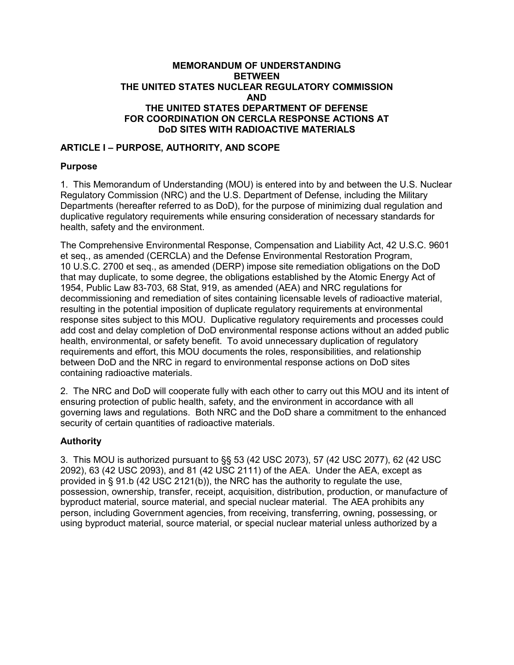#### **MEMORANDUM OF UNDERSTANDING BETWEEN THE UNITED STATES NUCLEAR REGULATORY COMMISSION AND THE UNITED STATES DEPARTMENT OF DEFENSE FOR COORDINATION ON CERCLA RESPONSE ACTIONS AT DoD SITES WITH RADIOACTIVE MATERIALS**

# **ARTICLE I – PURPOSE, AUTHORITY, AND SCOPE**

#### **Purpose**

1. This Memorandum of Understanding (MOU) is entered into by and between the U.S. Nuclear Regulatory Commission (NRC) and the U.S. Department of Defense, including the Military Departments (hereafter referred to as DoD), for the purpose of minimizing dual regulation and duplicative regulatory requirements while ensuring consideration of necessary standards for health, safety and the environment.

The Comprehensive Environmental Response, Compensation and Liability Act, 42 U.S.C. 9601 et seq., as amended (CERCLA) and the Defense Environmental Restoration Program, 10 U.S.C. 2700 et seq., as amended (DERP) impose site remediation obligations on the DoD that may duplicate, to some degree, the obligations established by the Atomic Energy Act of 1954, Public Law 83-703, 68 Stat, 919, as amended (AEA) and NRC regulations for decommissioning and remediation of sites containing licensable levels of radioactive material, resulting in the potential imposition of duplicate regulatory requirements at environmental response sites subject to this MOU. Duplicative regulatory requirements and processes could add cost and delay completion of DoD environmental response actions without an added public health, environmental, or safety benefit. To avoid unnecessary duplication of regulatory requirements and effort, this MOU documents the roles, responsibilities, and relationship between DoD and the NRC in regard to environmental response actions on DoD sites containing radioactive materials.

2. The NRC and DoD will cooperate fully with each other to carry out this MOU and its intent of ensuring protection of public health, safety, and the environment in accordance with all governing laws and regulations. Both NRC and the DoD share a commitment to the enhanced security of certain quantities of radioactive materials.

### **Authority**

3. This MOU is authorized pursuant to §§ 53 (42 USC 2073), 57 (42 USC 2077), 62 (42 USC 2092), 63 (42 USC 2093), and 81 (42 USC 2111) of the AEA. Under the AEA, except as provided in  $\S$  91.b (42 USC 2121(b)), the NRC has the authority to regulate the use, possession, ownership, transfer, receipt, acquisition, distribution, production, or manufacture of byproduct material, source material, and special nuclear material. The AEA prohibits any person, including Government agencies, from receiving, transferring, owning, possessing, or using byproduct material, source material, or special nuclear material unless authorized by a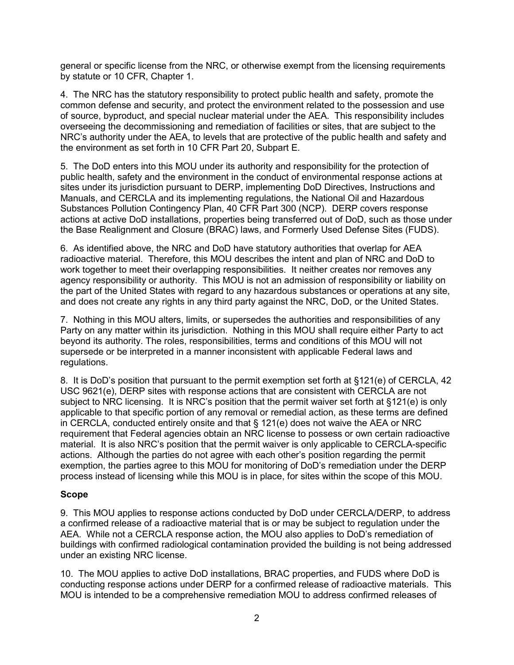general or specific license from the NRC, or otherwise exempt from the licensing requirements by statute or 10 CFR, Chapter 1.

4. The NRC has the statutory responsibility to protect public health and safety, promote the common defense and security, and protect the environment related to the possession and use of source, byproduct, and special nuclear material under the AEA. This responsibility includes overseeing the decommissioning and remediation of facilities or sites, that are subject to the NRC's authority under the AEA, to levels that are protective of the public health and safety and the environment as set forth in 10 CFR Part 20, Subpart E.

5. The DoD enters into this MOU under its authority and responsibility for the protection of public health, safety and the environment in the conduct of environmental response actions at sites under its jurisdiction pursuant to DERP, implementing DoD Directives, Instructions and Manuals, and CERCLA and its implementing regulations, the National Oil and Hazardous Substances Pollution Contingency Plan, 40 CFR Part 300 (NCP). DERP covers response actions at active DoD installations, properties being transferred out of DoD, such as those under the Base Realignment and Closure (BRAC) laws, and Formerly Used Defense Sites (FUDS).

6. As identified above, the NRC and DoD have statutory authorities that overlap for AEA radioactive material. Therefore, this MOU describes the intent and plan of NRC and DoD to work together to meet their overlapping responsibilities. It neither creates nor removes any agency responsibility or authority. This MOU is not an admission of responsibility or liability on the part of the United States with regard to any hazardous substances or operations at any site, and does not create any rights in any third party against the NRC, DoD, or the United States.

7. Nothing in this MOU alters, limits, or supersedes the authorities and responsibilities of any Party on any matter within its jurisdiction. Nothing in this MOU shall require either Party to act beyond its authority. The roles, responsibilities, terms and conditions of this MOU will not supersede or be interpreted in a manner inconsistent with applicable Federal laws and regulations.

8. It is DoD's position that pursuant to the permit exemption set forth at §121(e) of CERCLA, 42 USC 9621(e), DERP sites with response actions that are consistent with CERCLA are not subject to NRC licensing. It is NRC's position that the permit waiver set forth at §121(e) is only applicable to that specific portion of any removal or remedial action, as these terms are defined in CERCLA, conducted entirely onsite and that  $\S$  121(e) does not waive the AEA or NRC requirement that Federal agencies obtain an NRC license to possess or own certain radioactive material. It is also NRC's position that the permit waiver is only applicable to CERCLA-specific actions. Although the parties do not agree with each other's position regarding the permit exemption, the parties agree to this MOU for monitoring of DoD's remediation under the DERP process instead of licensing while this MOU is in place, for sites within the scope of this MOU.

### **Scope**

9. This MOU applies to response actions conducted by DoD under CERCLA/DERP, to address a confirmed release of a radioactive material that is or may be subject to regulation under the AEA. While not a CERCLA response action, the MOU also applies to DoD's remediation of buildings with confirmed radiological contamination provided the building is not being addressed under an existing NRC license.

10. The MOU applies to active DoD installations, BRAC properties, and FUDS where DoD is conducting response actions under DERP for a confirmed release of radioactive materials. This MOU is intended to be a comprehensive remediation MOU to address confirmed releases of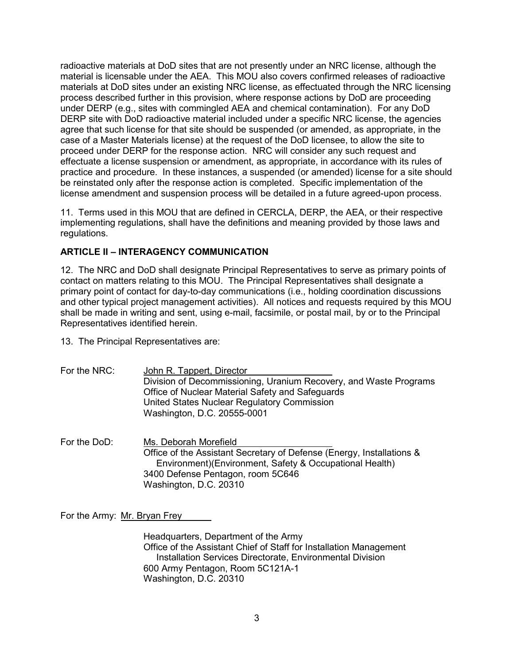radioactive materials at DoD sites that are not presently under an NRC license, although the material is licensable under the AEA. This MOU also covers confirmed releases of radioactive materials at DoD sites under an existing NRC license, as effectuated through the NRC licensing process described further in this provision, where response actions by DoD are proceeding under DERP (e.g., sites with commingled AEA and chemical contamination). For any DoD DERP site with DoD radioactive material included under a specific NRC license, the agencies agree that such license for that site should be suspended (or amended, as appropriate, in the case of a Master Materials license) at the request of the DoD licensee, to allow the site to proceed under DERP for the response action. NRC will consider any such request and effectuate a license suspension or amendment, as appropriate, in accordance with its rules of practice and procedure. In these instances, a suspended (or amended) license for a site should be reinstated only after the response action is completed. Specific implementation of the license amendment and suspension process will be detailed in a future agreed-upon process.

11. Terms used in this MOU that are defined in CERCLA, DERP, the AEA, or their respective implementing regulations, shall have the definitions and meaning provided by those laws and regulations.

### **ARTICLE II – INTERAGENCY COMMUNICATION**

12. The NRC and DoD shall designate Principal Representatives to serve as primary points of contact on matters relating to this MOU. The Principal Representatives shall designate a primary point of contact for day-to-day communications (i.e., holding coordination discussions and other typical project management activities). All notices and requests required by this MOU shall be made in writing and sent, using e-mail, facsimile, or postal mail, by or to the Principal Representatives identified herein.

13. The Principal Representatives are:

- For the NRC: John R. Tappert, Director Division of Decommissioning, Uranium Recovery, and Waste Programs Office of Nuclear Material Safety and Safeguards United States Nuclear Regulatory Commission Washington, D.C. 20555-0001
- For the DoD: Ms. Deborah Morefield Office of the Assistant Secretary of Defense (Energy, Installations & Environment)(Environment, Safety & Occupational Health) 3400 Defense Pentagon, room 5C646 Washington, D.C. 20310

For the Army: Mr. Bryan Frey

Headquarters, Department of the Army Office of the Assistant Chief of Staff for Installation Management Installation Services Directorate, Environmental Division 600 Army Pentagon, Room 5C121A-1 Washington, D.C. 20310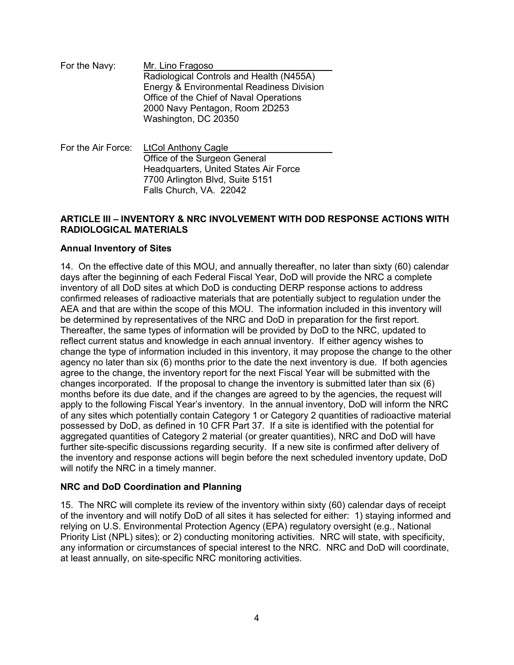For the Navy: Mr. Lino Fragoso Radiological Controls and Health (N455A) Energy & Environmental Readiness Division Office of the Chief of Naval Operations 2000 Navy Pentagon, Room 2D253 Washington, DC 20350

For the Air Force: LtCol Anthony Cagle Office of the Surgeon General Headquarters, United States Air Force 7700 Arlington Blvd, Suite 5151 Falls Church, VA. 22042

#### **ARTICLE III – INVENTORY & NRC INVOLVEMENT WITH DOD RESPONSE ACTIONS WITH RADIOLOGICAL MATERIALS**

### **Annual Inventory of Sites**

14. On the effective date of this MOU, and annually thereafter, no later than sixty (60) calendar days after the beginning of each Federal Fiscal Year, DoD will provide the NRC a complete inventory of all DoD sites at which DoD is conducting DERP response actions to address confirmed releases of radioactive materials that are potentially subject to regulation under the AEA and that are within the scope of this MOU. The information included in this inventory will be determined by representatives of the NRC and DoD in preparation for the first report. Thereafter, the same types of information will be provided by DoD to the NRC, updated to reflect current status and knowledge in each annual inventory. If either agency wishes to change the type of information included in this inventory, it may propose the change to the other agency no later than six (6) months prior to the date the next inventory is due. If both agencies agree to the change, the inventory report for the next Fiscal Year will be submitted with the changes incorporated. If the proposal to change the inventory is submitted later than six (6) months before its due date, and if the changes are agreed to by the agencies, the request will apply to the following Fiscal Year's inventory. In the annual inventory, DoD will inform the NRC of any sites which potentially contain Category 1 or Category 2 quantities of radioactive material possessed by DoD, as defined in 10 CFR Part 37. If a site is identified with the potential for aggregated quantities of Category 2 material (or greater quantities), NRC and DoD will have further site-specific discussions regarding security. If a new site is confirmed after delivery of the inventory and response actions will begin before the next scheduled inventory update, DoD will notify the NRC in a timely manner.

### **NRC and DoD Coordination and Planning**

15. The NRC will complete its review of the inventory within sixty (60) calendar days of receipt of the inventory and will notify DoD of all sites it has selected for either: 1) staying informed and relying on U.S. Environmental Protection Agency (EPA) regulatory oversight (e.g., National Priority List (NPL) sites); or 2) conducting monitoring activities. NRC will state, with specificity, any information or circumstances of special interest to the NRC. NRC and DoD will coordinate, at least annually, on site-specific NRC monitoring activities.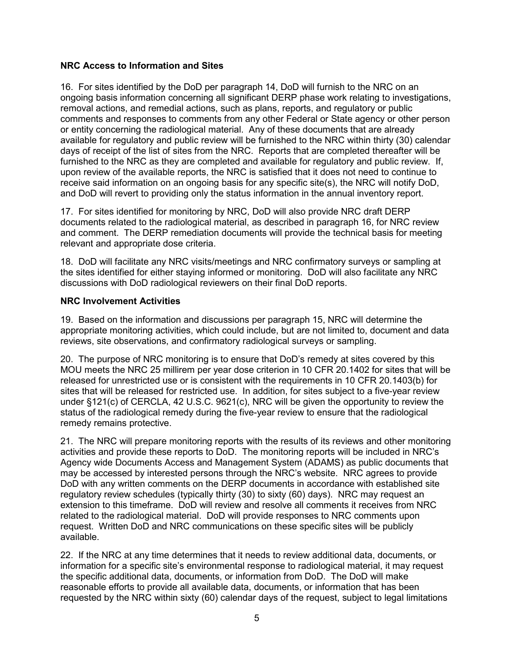### **NRC Access to Information and Sites**

16. For sites identified by the DoD per paragraph 14, DoD will furnish to the NRC on an ongoing basis information concerning all significant DERP phase work relating to investigations, removal actions, and remedial actions, such as plans, reports, and regulatory or public comments and responses to comments from any other Federal or State agency or other person or entity concerning the radiological material. Any of these documents that are already available for regulatory and public review will be furnished to the NRC within thirty (30) calendar days of receipt of the list of sites from the NRC. Reports that are completed thereafter will be furnished to the NRC as they are completed and available for regulatory and public review. If, upon review of the available reports, the NRC is satisfied that it does not need to continue to receive said information on an ongoing basis for any specific site(s), the NRC will notify DoD, and DoD will revert to providing only the status information in the annual inventory report.

17. For sites identified for monitoring by NRC, DoD will also provide NRC draft DERP documents related to the radiological material, as described in paragraph 16, for NRC review and comment. The DERP remediation documents will provide the technical basis for meeting relevant and appropriate dose criteria.

18. DoD will facilitate any NRC visits/meetings and NRC confirmatory surveys or sampling at the sites identified for either staying informed or monitoring. DoD will also facilitate any NRC discussions with DoD radiological reviewers on their final DoD reports.

#### **NRC Involvement Activities**

19. Based on the information and discussions per paragraph 15, NRC will determine the appropriate monitoring activities, which could include, but are not limited to, document and data reviews, site observations, and confirmatory radiological surveys or sampling.

20. The purpose of NRC monitoring is to ensure that DoD's remedy at sites covered by this MOU meets the NRC 25 millirem per year dose criterion in 10 CFR 20.1402 for sites that will be released for unrestricted use or is consistent with the requirements in 10 CFR 20.1403(b) for sites that will be released for restricted use. In addition, for sites subject to a five-year review under §121(c) of CERCLA, 42 U.S.C. 9621(c), NRC will be given the opportunity to review the status of the radiological remedy during the five-year review to ensure that the radiological remedy remains protective.

21. The NRC will prepare monitoring reports with the results of its reviews and other monitoring activities and provide these reports to DoD. The monitoring reports will be included in NRC's Agency wide Documents Access and Management System (ADAMS) as public documents that may be accessed by interested persons through the NRC's website. NRC agrees to provide DoD with any written comments on the DERP documents in accordance with established site regulatory review schedules (typically thirty (30) to sixty (60) days). NRC may request an extension to this timeframe. DoD will review and resolve all comments it receives from NRC related to the radiological material. DoD will provide responses to NRC comments upon request. Written DoD and NRC communications on these specific sites will be publicly available.

22. If the NRC at any time determines that it needs to review additional data, documents, or information for a specific site's environmental response to radiological material, it may request the specific additional data, documents, or information from DoD. The DoD will make reasonable efforts to provide all available data, documents, or information that has been requested by the NRC within sixty (60) calendar days of the request, subject to legal limitations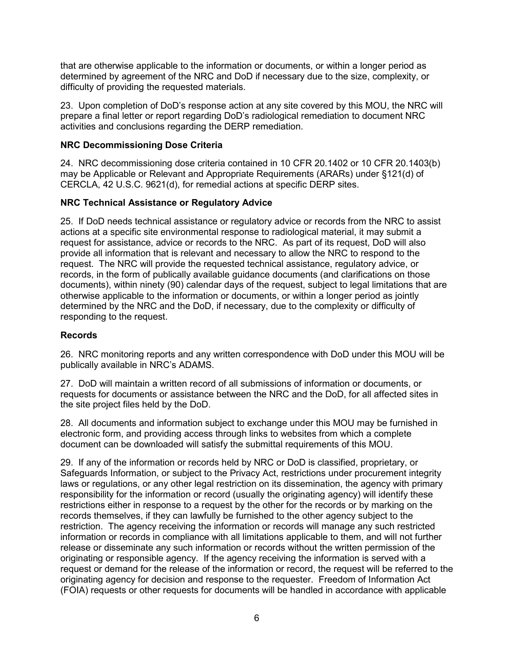that are otherwise applicable to the information or documents, or within a longer period as determined by agreement of the NRC and DoD if necessary due to the size, complexity, or difficulty of providing the requested materials.

23. Upon completion of DoD's response action at any site covered by this MOU, the NRC will prepare a final letter or report regarding DoD's radiological remediation to document NRC activities and conclusions regarding the DERP remediation.

### **NRC Decommissioning Dose Criteria**

24. NRC decommissioning dose criteria contained in 10 CFR 20.1402 or 10 CFR 20.1403(b) may be Applicable or Relevant and Appropriate Requirements (ARARs) under §121(d) of CERCLA, 42 U.S.C. 9621(d), for remedial actions at specific DERP sites.

### **NRC Technical Assistance or Regulatory Advice**

25. If DoD needs technical assistance or regulatory advice or records from the NRC to assist actions at a specific site environmental response to radiological material, it may submit a request for assistance, advice or records to the NRC. As part of its request, DoD will also provide all information that is relevant and necessary to allow the NRC to respond to the request. The NRC will provide the requested technical assistance, regulatory advice, or records, in the form of publically available guidance documents (and clarifications on those documents), within ninety (90) calendar days of the request, subject to legal limitations that are otherwise applicable to the information or documents, or within a longer period as jointly determined by the NRC and the DoD, if necessary, due to the complexity or difficulty of responding to the request.

### **Records**

26. NRC monitoring reports and any written correspondence with DoD under this MOU will be publically available in NRC's ADAMS.

27. DoD will maintain a written record of all submissions of information or documents, or requests for documents or assistance between the NRC and the DoD, for all affected sites in the site project files held by the DoD.

28. All documents and information subject to exchange under this MOU may be furnished in electronic form, and providing access through links to websites from which a complete document can be downloaded will satisfy the submittal requirements of this MOU.

29. If any of the information or records held by NRC or DoD is classified, proprietary, or Safeguards Information, or subject to the Privacy Act, restrictions under procurement integrity laws or regulations, or any other legal restriction on its dissemination, the agency with primary responsibility for the information or record (usually the originating agency) will identify these restrictions either in response to a request by the other for the records or by marking on the records themselves, if they can lawfully be furnished to the other agency subject to the restriction. The agency receiving the information or records will manage any such restricted information or records in compliance with all limitations applicable to them, and will not further release or disseminate any such information or records without the written permission of the originating or responsible agency. If the agency receiving the information is served with a request or demand for the release of the information or record, the request will be referred to the originating agency for decision and response to the requester. Freedom of Information Act (FOIA) requests or other requests for documents will be handled in accordance with applicable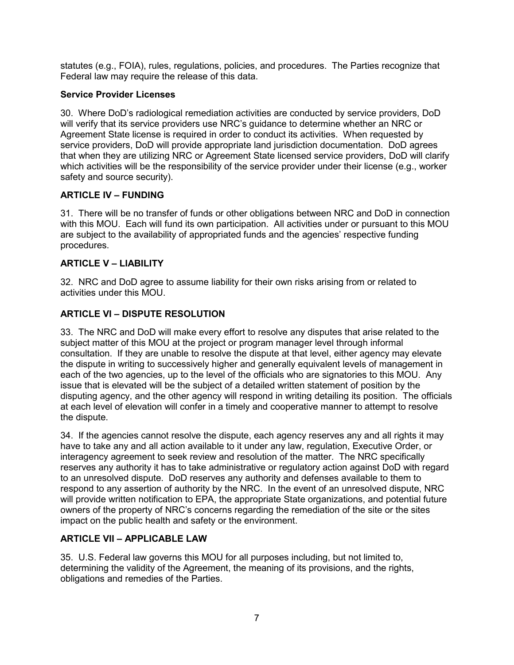statutes (e.g., FOIA), rules, regulations, policies, and procedures. The Parties recognize that Federal law may require the release of this data.

# **Service Provider Licenses**

30. Where DoD's radiological remediation activities are conducted by service providers, DoD will verify that its service providers use NRC's guidance to determine whether an NRC or Agreement State license is required in order to conduct its activities. When requested by service providers, DoD will provide appropriate land jurisdiction documentation. DoD agrees that when they are utilizing NRC or Agreement State licensed service providers, DoD will clarify which activities will be the responsibility of the service provider under their license (e.g., worker safety and source security).

### **ARTICLE IV – FUNDING**

31. There will be no transfer of funds or other obligations between NRC and DoD in connection with this MOU. Each will fund its own participation. All activities under or pursuant to this MOU are subject to the availability of appropriated funds and the agencies' respective funding procedures.

### **ARTICLE V – LIABILITY**

32. NRC and DoD agree to assume liability for their own risks arising from or related to activities under this MOU.

# **ARTICLE VI – DISPUTE RESOLUTION**

33. The NRC and DoD will make every effort to resolve any disputes that arise related to the subject matter of this MOU at the project or program manager level through informal consultation. If they are unable to resolve the dispute at that level, either agency may elevate the dispute in writing to successively higher and generally equivalent levels of management in each of the two agencies, up to the level of the officials who are signatories to this MOU. Any issue that is elevated will be the subject of a detailed written statement of position by the disputing agency, and the other agency will respond in writing detailing its position. The officials at each level of elevation will confer in a timely and cooperative manner to attempt to resolve the dispute.

34. If the agencies cannot resolve the dispute, each agency reserves any and all rights it may have to take any and all action available to it under any law, regulation, Executive Order, or interagency agreement to seek review and resolution of the matter. The NRC specifically reserves any authority it has to take administrative or regulatory action against DoD with regard to an unresolved dispute. DoD reserves any authority and defenses available to them to respond to any assertion of authority by the NRC. In the event of an unresolved dispute, NRC will provide written notification to EPA, the appropriate State organizations, and potential future owners of the property of NRC's concerns regarding the remediation of the site or the sites impact on the public health and safety or the environment.

# **ARTICLE VII – APPLICABLE LAW**

35. U.S. Federal law governs this MOU for all purposes including, but not limited to, determining the validity of the Agreement, the meaning of its provisions, and the rights, obligations and remedies of the Parties.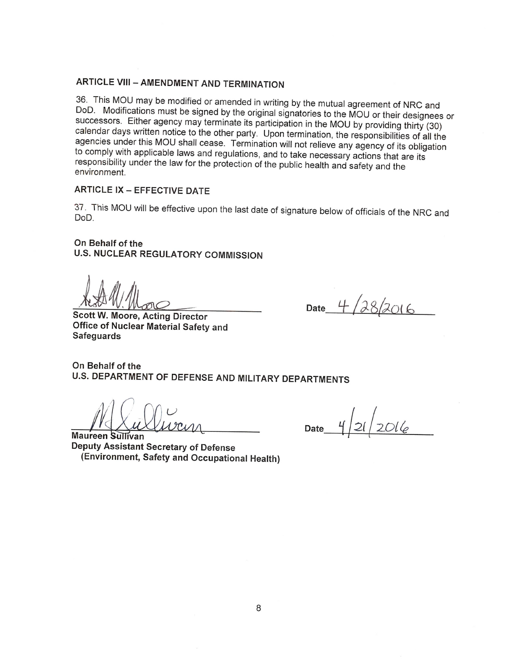# **ARTICLE VIII - AMENDMENT AND TERMINATION**

36. This MOU may be modified or amended in writing by the mutual agreement of NRC and DoD. Modifications must be signed by the original signatories to the MOU or their designees or successors. Either agency may terminate its participation in the MOU by providing thirty (30) calendar days written notice to the other party. Upon termination, the responsibilities of all the agencies under this MOU shall cease. Termination will not relieve any agency of its obligation to comply with applicable laws and regulations, and to take necessary actions that are its responsibility under the law for the protection of the public health and safety and the environment.

# **ARTICLE IX - EFFECTIVE DATE**

37. This MOU will be effective upon the last date of signature below of officials of the NRC and DoD.

#### On Behalf of the

**U.S. NUCLEAR REGULATORY COMMISSION** 

**Scott W. Moore, Acting Director** Office of Nuclear Material Safety and **Safeguards** 

 $28/2016$ Date  $4$ 

On Behalf of the U.S. DEPARTMENT OF DEFENSE AND MILITARY DEPARTMENTS

 $21/2016$ Date

**Maureen Sullivan** Deputy Assistant Secretary of Defense (Environment, Safety and Occupational Health)